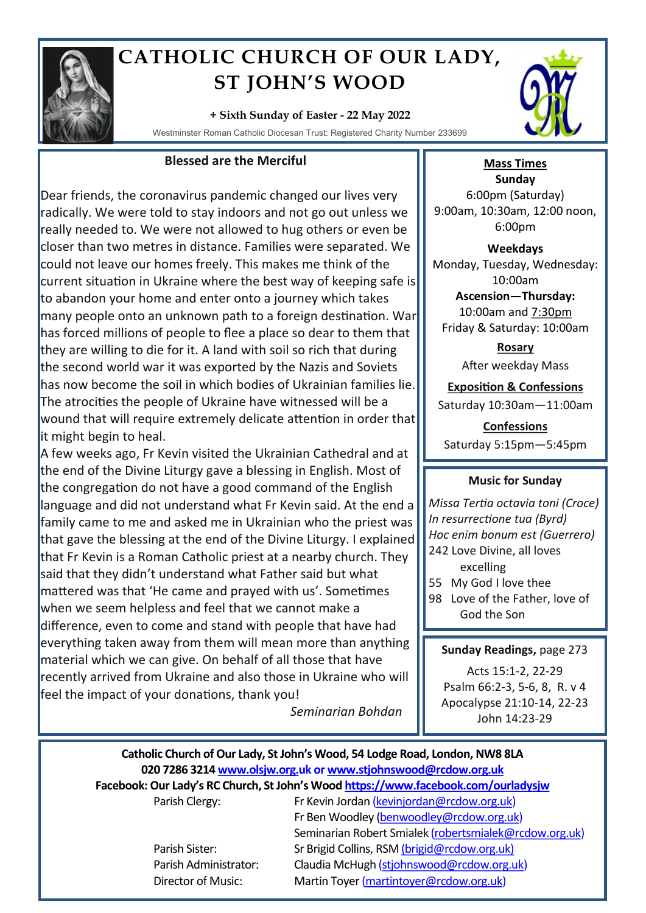

# **CATHOLIC CHURCH OF OUR LADY, ST JOHN'S WOOD**

**+ Sixth Sunday of Easter - 22 May 2022**

Westminster Roman Catholic Diocesan Trust: Registered Charity Number 233699

# **Blessed are the Merciful**

Dear friends, the coronavirus pandemic changed our lives very radically. We were told to stay indoors and not go out unless we really needed to. We were not allowed to hug others or even be closer than two metres in distance. Families were separated. We could not leave our homes freely. This makes me think of the current situation in Ukraine where the best way of keeping safe is to abandon your home and enter onto a journey which takes many people onto an unknown path to a foreign destination. War has forced millions of people to flee a place so dear to them that they are willing to die for it. A land with soil so rich that during the second world war it was exported by the Nazis and Soviets has now become the soil in which bodies of Ukrainian families lie. The atrocities the people of Ukraine have witnessed will be a wound that will require extremely delicate attention in order that it might begin to heal.

A few weeks ago, Fr Kevin visited the Ukrainian Cathedral and at the end of the Divine Liturgy gave a blessing in English. Most of the congregation do not have a good command of the English language and did not understand what Fr Kevin said. At the end a family came to me and asked me in Ukrainian who the priest was that gave the blessing at the end of the Divine Liturgy. I explained that Fr Kevin is a Roman Catholic priest at a nearby church. They said that they didn't understand what Father said but what mattered was that 'He came and prayed with us'. Sometimes when we seem helpless and feel that we cannot make a difference, even to come and stand with people that have had everything taken away from them will mean more than anything material which we can give. On behalf of all those that have recently arrived from Ukraine and also those in Ukraine who will feel the impact of your donations, thank you!

*Seminarian Bohdan*



### **Mass Times Sunday** 6:00pm (Saturday) 9:00am, 10:30am, 12:00 noon, 6:00pm

**Weekdays** Monday, Tuesday, Wednesday: 10:00am **Ascension—Thursday:** 

10:00am and 7:30pm Friday & Saturday: 10:00am

> **Rosary** After weekday Mass

**Exposition & Confessions** Saturday 10:30am—11:00am

**Confessions**  Saturday 5:15pm—5:45pm

### **Music for Sunday**

*Missa Tertia octavia toni (Croce) In resurrectione tua (Byrd) Hoc enim bonum est (Guerrero)* 242 Love Divine, all loves excelling 55 My God I love thee

98 Love of the Father, love of God the Son

### **Sunday Readings,** page 273

Acts 15:1-2, 22-29 Psalm 66:2-3, 5-6, 8, R. v 4 Apocalypse 21:10-14, 22-23 John 14:23-29

# **Catholic Church of Our Lady, St John's Wood, 54 Lodge Road, London, NW8 8LA 020 7286 3214 www.olsjw.org.uk or www.stjohnswood@rcdow.org.uk Facebook: Our Lady's RC Church, St John's Wood https://www.facebook.com/ourladysjw** Parish Clergy: Fr Kevin Jordan (kevinjordan@rcdow.org.uk)

Fr Ben Woodley (benwoodley@rcdow.org.uk) Seminarian Robert Smialek (robertsmialek@rcdow.org.uk) Parish Sister: Sr Brigid Collins, RSM (brigid@rcdow.org.uk) Parish Administrator: Claudia McHugh (stjohnswood@rcdow.org.uk) Director of Music: Martin Toyer (martintoyer@rcdow.org.uk)